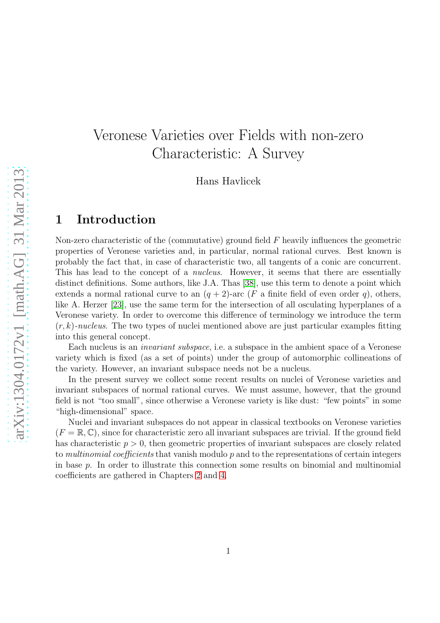# Veronese Varieties over Fields with non-zero Characteristic: A Survey

Hans Havlicek

### 1 Introduction

Non-zero characteristic of the (commutative) ground field  $F$  heavily influences the geometric properties of Veronese varieties and, in particular, normal rational curves. Best known is probably the fact that, in case of characteristic two, all tangents of a conic are concurrent. This has lead to the concept of a *nucleus*. However, it seems that there are essentially distinct definitions. Some authors, like J.A. Thas [\[38\]](#page-13-0), use this term to denote a point which extends a normal rational curve to an  $(q + 2)$ -arc (F a finite field of even order q), others, like A. Herzer [\[23\]](#page-13-1), use the same term for the intersection of all osculating hyperplanes of a Veronese variety. In order to overcome this difference of terminology we introduce the term  $(r, k)$ -nucleus. The two types of nuclei mentioned above are just particular examples fitting into this general concept.

Each nucleus is an invariant subspace, i.e. a subspace in the ambient space of a Veronese variety which is fixed (as a set of points) under the group of automorphic collineations of the variety. However, an invariant subspace needs not be a nucleus.

In the present survey we collect some recent results on nuclei of Veronese varieties and invariant subspaces of normal rational curves. We must assume, however, that the ground field is not "too small", since otherwise a Veronese variety is like dust: "few points" in some "high-dimensional" space.

Nuclei and invariant subspaces do not appear in classical textbooks on Veronese varieties  $(F = \mathbb{R}, \mathbb{C})$ , since for characteristic zero all invariant subspaces are trivial. If the ground field has characteristic  $p > 0$ , then geometric properties of invariant subspaces are closely related to multinomial coefficients that vanish modulo p and to the representations of certain integers in base  $p$ . In order to illustrate this connection some results on binomial and multinomial coefficients are gathered in Chapters [2](#page-1-0) and [4.](#page-9-0)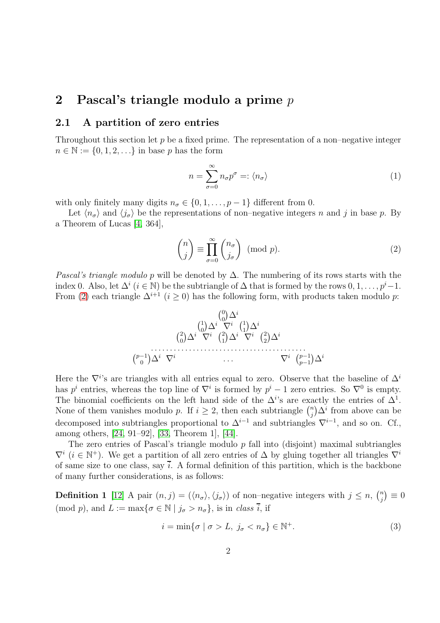### <span id="page-1-0"></span>2 Pascal's triangle modulo a prime p

#### 2.1 A partition of zero entries

Throughout this section let  $p$  be a fixed prime. The representation of a non-negative integer  $n \in \mathbb{N} := \{0, 1, 2, \ldots\}$  in base p has the form

$$
n = \sum_{\sigma=0}^{\infty} n_{\sigma} p^{\sigma} =: \langle n_{\sigma} \rangle \tag{1}
$$

with only finitely many digits  $n_{\sigma} \in \{0, 1, \ldots, p-1\}$  different from 0.

Let  $\langle n_{\sigma} \rangle$  and  $\langle j_{\sigma} \rangle$  be the representations of non–negative integers n and j in base p. By a Theorem of Lucas [\[4,](#page-12-0) 364],

<span id="page-1-1"></span>
$$
\binom{n}{j} \equiv \prod_{\sigma=0}^{\infty} \binom{n_{\sigma}}{j_{\sigma}} \pmod{p}.
$$
 (2)

*Pascal's triangle modulo p* will be denoted by  $\Delta$ . The numbering of its rows starts with the index 0. Also, let  $\Delta^i$   $(i \in \mathbb{N})$  be the subtriangle of  $\Delta$  that is formed by the rows  $0, 1, \ldots, p^i-1$ . From [\(2\)](#page-1-1) each triangle  $\Delta^{i+1}$  ( $i \ge 0$ ) has the following form, with products taken modulo p:

$$
\begin{array}{ccc}\n & \binom{0}{0} \Delta^i & \nabla^i & \binom{1}{1} \Delta^i \\
 & \binom{2}{0} \Delta^i & \nabla^i & \binom{2}{1} \Delta^i & \nabla^i & \binom{2}{2} \Delta^i \\
 & \dots & \dots & \dots & \dots & \dots \\
 & \binom{p-1}{0} \Delta^i & \nabla^i & \dots & \nabla^i & \binom{p-1}{p-1} \Delta^i\n\end{array}
$$

Here the  $\nabla^{i}$ 's are triangles with all entries equal to zero. Observe that the baseline of  $\Delta^{i}$ has  $p^i$  entries, whereas the top line of  $\nabla^i$  is formed by  $p^i - 1$  zero entries. So  $\nabla^0$  is empty. The binomial coefficients on the left hand side of the  $\Delta^{i}$ 's are exactly the entries of  $\Delta^{1}$ . None of them vanishes modulo p. If  $i \geq 2$ , then each subtriangle  $\binom{n}{i}$  $\binom{n}{j} \Delta^i$  from above can be decomposed into subtriangles proportional to  $\Delta^{i-1}$  and subtriangles  $\nabla^{i-1}$ , and so on. Cf., among others, [\[24,](#page-13-2) 91–92], [\[33,](#page-13-3) Theorem 1], [\[44\]](#page-13-4).

The zero entries of Pascal's triangle modulo  $p$  fall into (disjoint) maximal subtriangles  $\nabla^i$  ( $i \in \mathbb{N}^+$ ). We get a partition of all zero entries of  $\Delta$  by gluing together all triangles  $\nabla^i$ of same size to one class, say  $\overline{i}$ . A formal definition of this partition, which is the backbone of many further considerations, is as follows:

**Definition 1** [\[12\]](#page-12-1) A pair  $(n, j) = (\langle n_{\sigma} \rangle, \langle j_{\sigma} \rangle)$  of non–negative integers with  $j \leq n$ ,  $\binom{n}{i}$  $j^{(n)}\equiv 0$ (mod p), and  $L := \max{\lbrace \sigma \in \mathbb{N} \mid j_{\sigma} > n_{\sigma} \rbrace}$ , is in class  $\overline{i}$ , if

$$
i = \min\{\sigma \mid \sigma > L, \ j_{\sigma} < n_{\sigma}\} \in \mathbb{N}^+.\tag{3}
$$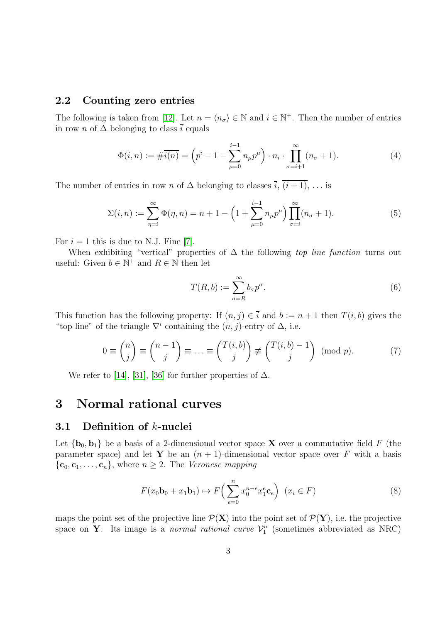#### 2.2 Counting zero entries

The following is taken from [\[12\]](#page-12-1). Let  $n = \langle n_{\sigma} \rangle \in \mathbb{N}$  and  $i \in \mathbb{N}^+$ . Then the number of entries in row n of  $\Delta$  belonging to class  $\overline{i}$  equals

$$
\Phi(i,n) := \#\overline{i(n)} = \left(p^i - 1 - \sum_{\mu=0}^{i-1} n_{\mu} p^{\mu}\right) \cdot n_i \cdot \prod_{\sigma=i+1}^{\infty} (n_{\sigma} + 1).
$$
 (4)

The number of entries in row n of  $\Delta$  belonging to classes  $\overline{i}, \overline{(i+1)}, \ldots$  is

$$
\Sigma(i, n) := \sum_{\eta=i}^{\infty} \Phi(\eta, n) = n + 1 - \left(1 + \sum_{\mu=0}^{i-1} n_{\mu} p^{\mu}\right) \prod_{\sigma=i}^{\infty} (n_{\sigma} + 1).
$$
 (5)

For  $i = 1$  this is due to N.J. Fine [\[7\]](#page-12-2).

When exhibiting "vertical" properties of  $\Delta$  the following top line function turns out useful: Given  $b \in \mathbb{N}^+$  and  $R \in \mathbb{N}$  then let

$$
T(R, b) := \sum_{\sigma=R}^{\infty} b_{\sigma} p^{\sigma}.
$$
 (6)

This function has the following property: If  $(n, j) \in \overline{i}$  and  $b := n + 1$  then  $T(i, b)$  gives the "top line" of the triangle  $\nabla^i$  containing the  $(n, j)$ -entry of  $\Delta$ , i.e.

$$
0 \equiv \binom{n}{j} \equiv \binom{n-1}{j} \equiv \ldots \equiv \binom{T(i,b)}{j} \not\equiv \binom{T(i,b)-1}{j} \pmod{p}.
$$
 (7)

We refer to [\[14\]](#page-12-3), [\[31\]](#page-13-5), [\[36\]](#page-13-6) for further properties of  $\Delta$ .

### 3 Normal rational curves

#### 3.1 Definition of k-nuclei

Let  ${b_0, b_1}$  be a basis of a 2-dimensional vector space **X** over a commutative field F (the parameter space) and let Y be an  $(n + 1)$ -dimensional vector space over F with a basis  ${c_0, c_1, \ldots, c_n}$ , where  $n \geq 2$ . The *Veronese mapping* 

<span id="page-2-0"></span>
$$
F(x_0 \mathbf{b}_0 + x_1 \mathbf{b}_1) \mapsto F\left(\sum_{e=0}^n x_0^{n-e} x_1^e \mathbf{c}_e\right) \ (x_i \in F) \tag{8}
$$

maps the point set of the projective line  $\mathcal{P}(\mathbf{X})$  into the point set of  $\mathcal{P}(\mathbf{Y})$ , i.e. the projective space on **Y**. Its image is a *normal rational curve*  $V_1^n$  (sometimes abbreviated as NRC)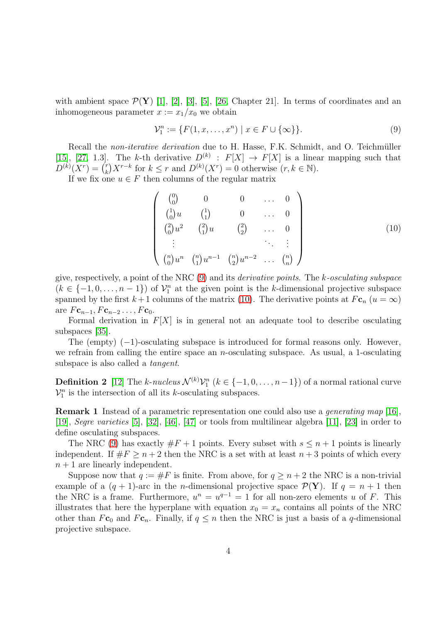with ambient space  $\mathcal{P}(\mathbf{Y})$  [\[1\]](#page-12-4), [\[2\]](#page-12-5), [\[3\]](#page-12-6), [\[5\]](#page-12-7), [\[26,](#page-13-7) Chapter 21]. In terms of coordinates and an inhomogeneous parameter  $x := x_1/x_0$  we obtain

<span id="page-3-0"></span>
$$
\mathcal{V}_1^n := \{ F(1, x, \dots, x^n) \mid x \in F \cup \{\infty\} \}.
$$
\n(9)

Recall the *non-iterative derivation* due to H. Hasse, F.K. Schmidt, and O. Teichmüller [\[15\]](#page-12-8), [\[27,](#page-13-8) 1.3]. The k-th derivative  $D^{(k)}$ :  $F[X] \rightarrow F[X]$  is a linear mapping such that  $D^{(k)}(X^{r}) = {r \choose k}$  $\binom{r}{k} X^{r-k}$  for  $k \leq r$  and  $D^{(k)}(X^r) = 0$  otherwise  $(r, k \in \mathbb{N})$ .

If we fix one  $u \in F$  then columns of the regular matrix

<span id="page-3-1"></span>
$$
\begin{pmatrix}\n\begin{pmatrix}\n0 \\
0\n\end{pmatrix} & 0 & 0 & \dots & 0 \\
\begin{pmatrix}\n1 \\
0\n\end{pmatrix} u & \begin{pmatrix}\n1 \\
1\n\end{pmatrix} & 0 & \dots & 0 \\
\begin{pmatrix}\n2 \\
0\n\end{pmatrix} u^2 & \begin{pmatrix}\n2 \\
1\n\end{pmatrix} u & \begin{pmatrix}\n2 \\
2\n\end{pmatrix} & \dots & 0 \\
\vdots & \ddots & \vdots \\
\begin{pmatrix}\n0 \\
0\n\end{pmatrix} u^n & \begin{pmatrix}\n0 \\
1\n\end{pmatrix} u^{n-1} & \begin{pmatrix}\n0 \\
2\n\end{pmatrix} u^{n-2} & \dots & \begin{pmatrix}\n0 \\
n\n\end{pmatrix}\n\end{pmatrix}
$$
\n(10)

give, respectively, a point of the NRC  $(9)$  and its *derivative points*. The *k*-osculating subspace  $(k \in \{-1,0,\ldots,n-1\})$  of  $\mathcal{V}_1^n$  at the given point is the k-dimensional projective subspace spanned by the first k + 1 columns of the matrix [\(10\)](#page-3-1). The derivative points at  $F_{\mathbf{c}_n}(u = \infty)$ are  $F_{\mathbf{C}_{n-1}}, F_{\mathbf{C}_{n-2}} \ldots, F_{\mathbf{C}_0}$ .

Formal derivation in  $F[X]$  is in general not an adequate tool to describe osculating subspaces [\[35\]](#page-13-9).

The (empty) (−1)-osculating subspace is introduced for formal reasons only. However, we refrain from calling the entire space an *n*-osculating subspace. As usual, a 1-osculating subspace is also called a tangent.

**Definition 2** [\[12\]](#page-12-1) The k-nucleus  $\mathcal{N}^{(k)}\mathcal{V}_1^n$  ( $k \in \{-1, 0, \ldots, n-1\}$ ) of a normal rational curve  $\mathcal{V}_1^n$  is the intersection of all its *k*-osculating subspaces.

Remark 1 Instead of a parametric representation one could also use a generating map [\[16\]](#page-12-9), [\[19\]](#page-12-10), Segre varieties [\[5\]](#page-12-7), [\[32\]](#page-13-10), [\[46\]](#page-14-0), [\[47\]](#page-14-1) or tools from multilinear algebra [\[11\]](#page-12-11), [\[23\]](#page-13-1) in order to define osculating subspaces.

The NRC [\(9\)](#page-3-0) has exactly  $\#F + 1$  points. Every subset with  $s \leq n + 1$  points is linearly independent. If  $\#F \geq n+2$  then the NRC is a set with at least  $n+3$  points of which every  $n + 1$  are linearly independent.

Suppose now that  $q := \#F$  is finite. From above, for  $q \geq n+2$  the NRC is a non-trivial example of a  $(q + 1)$ -arc in the *n*-dimensional projective space  $\mathcal{P}(Y)$ . If  $q = n + 1$  then the NRC is a frame. Furthermore,  $u^n = u^{q-1} = 1$  for all non-zero elements u of F. This illustrates that here the hyperplane with equation  $x_0 = x_n$  contains all points of the NRC other than  $Fc_0$  and  $Fc_n$ . Finally, if  $q \leq n$  then the NRC is just a basis of a q-dimensional projective subspace.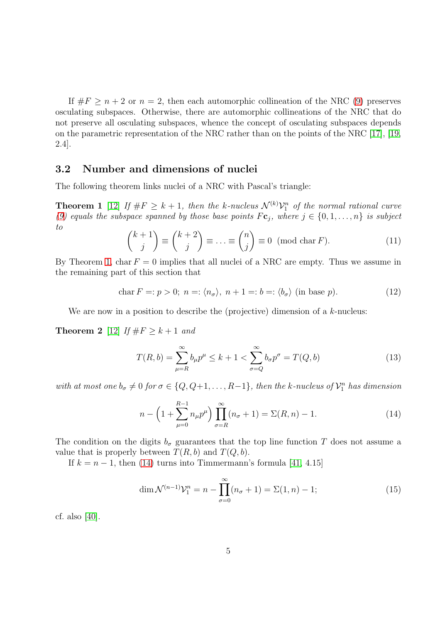If  $\#F \geq n+2$  or  $n=2$ , then each automorphic collineation of the NRC [\(9\)](#page-3-0) preserves osculating subspaces. Otherwise, there are automorphic collineations of the NRC that do not preserve all osculating subspaces, whence the concept of osculating subspaces depends on the parametric representation of the NRC rather than on the points of the NRC [\[17\]](#page-12-12), [\[19,](#page-12-10) 2.4].

#### 3.2 Number and dimensions of nuclei

<span id="page-4-0"></span>The following theorem links nuclei of a NRC with Pascal's triangle:

**Theorem 1** [\[12\]](#page-12-1) If  $#F \geq k+1$ , then the k-nucleus  $\mathcal{N}^{(k)}\mathcal{V}_1^n$  of the normal rational curve [\(9\)](#page-3-0) equals the subspace spanned by those base points  $F_{\mathbf{C}_j}$ , where  $j \in \{0, 1, ..., n\}$  is subject to

$$
\binom{k+1}{j} \equiv \binom{k+2}{j} \equiv \ldots \equiv \binom{n}{j} \equiv 0 \pmod{\text{char } F}.
$$
 (11)

By Theorem [1,](#page-4-0) char  $F = 0$  implies that all nuclei of a NRC are empty. Thus we assume in the remaining part of this section that

$$
\text{char } F =: p > 0; \ n =: \langle n_{\sigma} \rangle, \ n + 1 =: b =: \langle b_{\sigma} \rangle \ \text{(in base } p). \tag{12}
$$

<span id="page-4-2"></span>We are now in a position to describe the (projective) dimension of a  $k$ -nucleus:

**Theorem 2** [\[12\]](#page-12-1) If  $\#F \geq k+1$  and

$$
T(R, b) = \sum_{\mu=R}^{\infty} b_{\mu} p^{\mu} \le k + 1 < \sum_{\sigma=Q}^{\infty} b_{\sigma} p^{\sigma} = T(Q, b)
$$
 (13)

with at most one  $b_{\sigma} \neq 0$  for  $\sigma \in \{Q, Q+1, \ldots, R-1\}$ , then the k-nucleus of  $\mathcal{V}_1^n$  has dimension

<span id="page-4-1"></span>
$$
n - \left(1 + \sum_{\mu=0}^{R-1} n_{\mu} p^{\mu}\right) \prod_{\sigma=R}^{\infty} (n_{\sigma} + 1) = \Sigma(R, n) - 1.
$$
 (14)

The condition on the digits  $b_{\sigma}$  guarantees that the top line function T does not assume a value that is properly between  $T(R, b)$  and  $T(Q, b)$ .

If  $k = n - 1$ , then [\(14\)](#page-4-1) turns into Timmermann's formula [\[41,](#page-13-11) 4.15]

$$
\dim \mathcal{N}^{(n-1)} \mathcal{V}_1^n = n - \prod_{\sigma=0}^{\infty} (n_{\sigma} + 1) = \Sigma(1, n) - 1; \tag{15}
$$

cf. also [\[40\]](#page-13-12).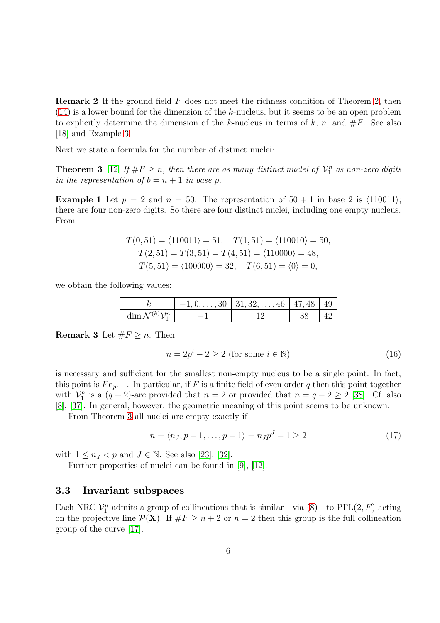Remark 2 If the ground field F does not meet the richness condition of Theorem [2,](#page-4-2) then [\(14\)](#page-4-1) is a lower bound for the dimension of the k-nucleus, but it seems to be an open problem to explicitly determine the dimension of the k-nucleus in terms of k, n, and  $#F$ . See also [\[18\]](#page-12-13) and Example 3.

<span id="page-5-0"></span>Next we state a formula for the number of distinct nuclei:

**Theorem 3** [\[12\]](#page-12-1) If  $#F \ge n$ , then there are as many distinct nuclei of  $\mathcal{V}_1^n$  as non-zero digits in the representation of  $b = n + 1$  in base p.

**Example 1** Let  $p = 2$  and  $n = 50$ : The representation of  $50 + 1$  in base 2 is  $\langle 110011 \rangle$ ; there are four non-zero digits. So there are four distinct nuclei, including one empty nucleus. From

$$
T(0,51) = \langle 110011 \rangle = 51, \quad T(1,51) = \langle 110010 \rangle = 50,
$$
  

$$
T(2,51) = T(3,51) = T(4,51) = \langle 110000 \rangle = 48,
$$
  

$$
T(5,51) = \langle 100000 \rangle = 32, \quad T(6,51) = \langle 0 \rangle = 0,
$$

we obtain the following values:

|                                       | $-1, 0, \ldots, 30 \mid 31, 32, \ldots, 46 \mid 47, 48 \mid 49$ |      |  |
|---------------------------------------|-----------------------------------------------------------------|------|--|
| $\dim \mathcal{N}^{(k)}\mathcal{V}^n$ |                                                                 | - 38 |  |

**Remark 3** Let  $\#F \geq n$ . Then

$$
n = 2pi - 2 \ge 2 \text{ (for some } i \in \mathbb{N})
$$
 (16)

is necessary and sufficient for the smallest non-empty nucleus to be a single point. In fact, this point is  $F_{\mathbf{c}_{p^i-1}}$ . In particular, if F is a finite field of even order q then this point together with  $\mathcal{V}_1^n$  is a  $(q+2)$ -arc provided that  $n=2$  or provided that  $n=q-2\geq 2$  [\[38\]](#page-13-0). Cf. also [\[8\]](#page-12-14), [\[37\]](#page-13-13). In general, however, the geometric meaning of this point seems to be unknown.

From Theorem [3](#page-5-0) all nuclei are empty exactly if

$$
n = \langle n_J, p-1, \dots, p-1 \rangle = n_J p^J - 1 \ge 2 \tag{17}
$$

with  $1 \leq n_J < p$  and  $J \in \mathbb{N}$ . See also [\[23\]](#page-13-1), [\[32\]](#page-13-10).

Further properties of nuclei can be found in [\[9\]](#page-12-15), [\[12\]](#page-12-1).

#### 3.3 Invariant subspaces

Each NRC  $\mathcal{V}_1^n$  admits a group of collineations that is similar - via [\(8\)](#page-2-0) - to PFL(2, F) acting on the projective line  $\mathcal{P}(\mathbf{X})$ . If  $\#F \geq n+2$  or  $n=2$  then this group is the full collineation group of the curve [\[17\]](#page-12-12).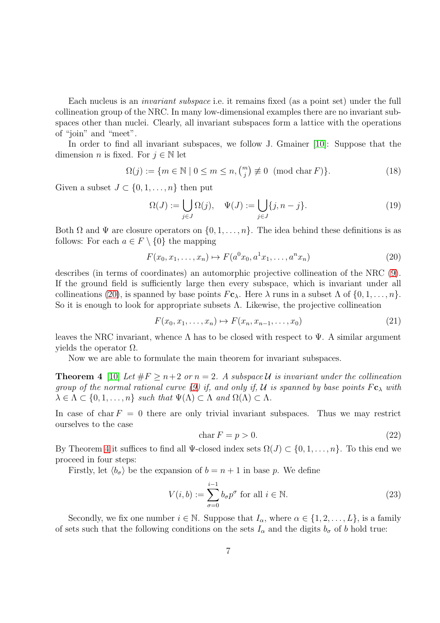Each nucleus is an invariant subspace i.e. it remains fixed (as a point set) under the full collineation group of the NRC. In many low-dimensional examples there are no invariant subspaces other than nuclei. Clearly, all invariant subspaces form a lattice with the operations of "join" and "meet".

In order to find all invariant subspaces, we follow J. Gmainer [\[10\]](#page-12-16): Suppose that the dimension *n* is fixed. For  $j \in \mathbb{N}$  let

$$
\Omega(j) := \{ m \in \mathbb{N} \mid 0 \le m \le n, \binom{m}{j} \not\equiv 0 \pmod{(\text{char } F)} \}. \tag{18}
$$

Given a subset  $J \subset \{0, 1, \ldots, n\}$  then put

$$
\Omega(J) := \bigcup_{j \in J} \Omega(j), \quad \Psi(J) := \bigcup_{j \in J} \{j, n - j\}.
$$
\n(19)

Both  $\Omega$  and  $\Psi$  are closure operators on  $\{0, 1, \ldots, n\}$ . The idea behind these definitions is as follows: For each  $a \in F \setminus \{0\}$  the mapping

<span id="page-6-0"></span>
$$
F(x_0, x_1, \dots, x_n) \mapsto F(a^0 x_0, a^1 x_1, \dots, a^n x_n)
$$
\n(20)

describes (in terms of coordinates) an automorphic projective collineation of the NRC [\(9\)](#page-3-0). If the ground field is sufficiently large then every subspace, which is invariant under all collineations [\(20\)](#page-6-0), is spanned by base points  $F_{c_\lambda}$ . Here  $\lambda$  runs in a subset  $\Lambda$  of  $\{0, 1, \ldots, n\}$ . So it is enough to look for appropriate subsets Λ. Likewise, the projective collineation

$$
F(x_0, x_1, \dots, x_n) \mapsto F(x_n, x_{n-1}, \dots, x_0)
$$
\n
$$
(21)
$$

leaves the NRC invariant, whence  $\Lambda$  has to be closed with respect to  $\Psi$ . A similar argument yields the operator  $Ω$ .

<span id="page-6-1"></span>Now we are able to formulate the main theorem for invariant subspaces.

**Theorem 4** [\[10\]](#page-12-16) Let  $#F \geq n+2$  or  $n=2$ . A subspace U is invariant under the collineation group of the normal rational curve [\(9\)](#page-3-0) if, and only if, U is spanned by base points  $F_{c_\lambda}$  with  $\lambda \in \Lambda \subset \{0, 1, \ldots, n\}$  such that  $\Psi(\Lambda) \subset \Lambda$  and  $\Omega(\Lambda) \subset \Lambda$ .

In case of char  $F = 0$  there are only trivial invariant subspaces. Thus we may restrict ourselves to the case

$$
\operatorname{char} F = p > 0. \tag{22}
$$

By Theorem [4](#page-6-1) it suffices to find all  $\Psi$ -closed index sets  $\Omega(J) \subset \{0, 1, \ldots, n\}$ . To this end we proceed in four steps:

Firstly, let  $\langle b_{\sigma} \rangle$  be the expansion of  $b = n + 1$  in base p. We define

$$
V(i,b) := \sum_{\sigma=0}^{i-1} b_{\sigma} p^{\sigma} \text{ for all } i \in \mathbb{N}.
$$
 (23)

Secondly, we fix one number  $i \in \mathbb{N}$ . Suppose that  $I_{\alpha}$ , where  $\alpha \in \{1, 2, ..., L\}$ , is a family of sets such that the following conditions on the sets  $I_{\alpha}$  and the digits  $b_{\sigma}$  of b hold true: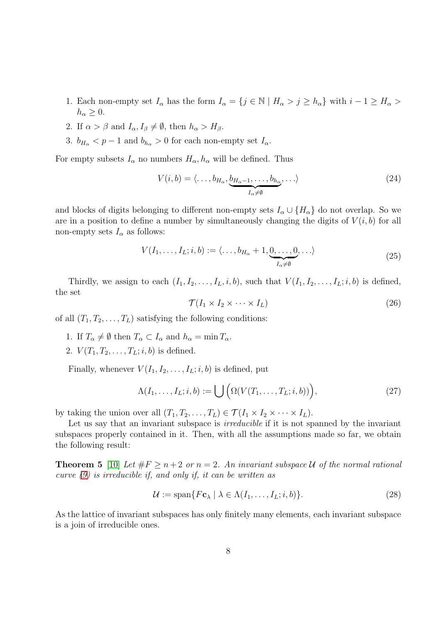- 1. Each non-empty set  $I_\alpha$  has the form  $I_\alpha = \{j \in \mathbb{N} \mid H_\alpha > j \ge h_\alpha\}$  with  $i 1 \ge H_\alpha >$  $h_{\alpha} \geq 0$ .
- 2. If  $\alpha > \beta$  and  $I_{\alpha}, I_{\beta} \neq \emptyset$ , then  $h_{\alpha} > H_{\beta}$ .
- 3.  $b_{H_{\alpha}} < p 1$  and  $b_{h_{\alpha}} > 0$  for each non-empty set  $I_{\alpha}$ .

For empty subsets  $I_{\alpha}$  no numbers  $H_{\alpha}$ ,  $h_{\alpha}$  will be defined. Thus

$$
V(i,b) = \langle \dots, b_{H_{\alpha}}, \underbrace{b_{H_{\alpha}-1}, \dots, b_{h_{\alpha}}}_{I_{\alpha}\neq\emptyset}, \dots \rangle
$$
\n(24)

and blocks of digits belonging to different non-empty sets  $I_\alpha \cup \{H_\alpha\}$  do not overlap. So we are in a position to define a number by simultaneously changing the digits of  $V(i, b)$  for all non-empty sets  $I_{\alpha}$  as follows:

$$
V(I_1, \ldots, I_L; i, b) := \langle \ldots, b_{H_\alpha} + 1, \underbrace{0, \ldots, 0}_{I_\alpha \neq \emptyset}, \ldots \rangle
$$
\n
$$
(25)
$$

Thirdly, we assign to each  $(I_1, I_2, \ldots, I_L, i, b)$ , such that  $V(I_1, I_2, \ldots, I_L; i, b)$  is defined, the set

$$
\mathcal{T}(I_1 \times I_2 \times \cdots \times I_L) \tag{26}
$$

of all  $(T_1, T_2, \ldots, T_L)$  satisfying the following conditions:

- 1. If  $T_{\alpha} \neq \emptyset$  then  $T_{\alpha} \subset I_{\alpha}$  and  $h_{\alpha} = \min T_{\alpha}$ .
- 2.  $V(T_1, T_2, \ldots, T_L; i, b)$  is defined.

Finally, whenever  $V(I_1, I_2, \ldots, I_L; i, b)$  is defined, put

$$
\Lambda(I_1,\ldots,I_L;i,b) := \bigcup \Big(\Omega(V(T_1,\ldots,T_L;i,b))\Big),\tag{27}
$$

by taking the union over all  $(T_1, T_2, \ldots, T_L) \in \mathcal{T}(I_1 \times I_2 \times \cdots \times I_L)$ .

Let us say that an invariant subspace is *irreducible* if it is not spanned by the invariant subspaces properly contained in it. Then, with all the assumptions made so far, we obtain the following result:

**Theorem 5** [\[10\]](#page-12-16) Let  $#F \geq n+2$  or  $n=2$ . An invariant subspace U of the normal rational curve [\(9\)](#page-3-0) is irreducible if, and only if, it can be written as

$$
\mathcal{U} := \text{span}\{F\mathbf{c}_{\lambda} \mid \lambda \in \Lambda(I_1, \dots, I_L; i, b)\}.
$$
\n
$$
(28)
$$

As the lattice of invariant subspaces has only finitely many elements, each invariant subspace is a join of irreducible ones.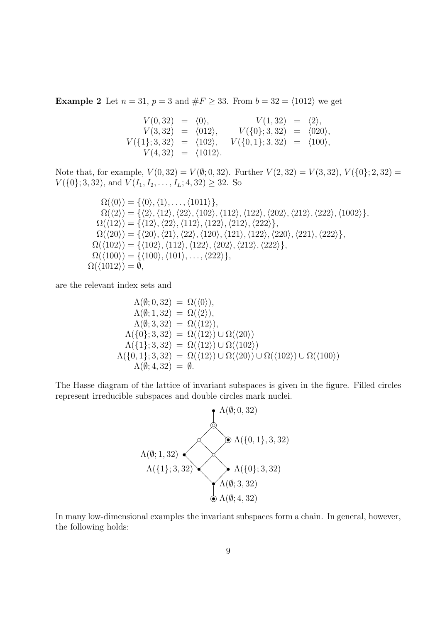**Example 2** Let  $n = 31$ ,  $p = 3$  and  $\#F \geq 33$ . From  $b = 32 = \langle 1012 \rangle$  we get

 $V(0,32) = \langle 0 \rangle,$   $V(1,32) = \langle 2 \rangle,$  $V(3, 32) = \langle 012 \rangle, \qquad V(\{0\}; 3, 32) = \langle 020 \rangle,$  $V({1}; 3, 32) = \langle 102 \rangle, \quad V({0, 1}; 3, 32) = \langle 100 \rangle,$  $V(4, 32) = \langle 1012 \rangle.$ 

Note that, for example,  $V(0, 32) = V(\emptyset; 0, 32)$ . Further  $V(2, 32) = V(3, 32)$ ,  $V(\{0\}; 2, 32) =$  $V({0}; 3, 32)$ , and  $V(I_1, I_2, \ldots, I_L; 4, 32) \geq 32$ . So

$$
\Omega(\langle 0 \rangle) = \{ \langle 0 \rangle, \langle 1 \rangle, \dots, \langle 1011 \rangle \},
$$
\n
$$
\Omega(\langle 2 \rangle) = \{ \langle 2 \rangle, \langle 12 \rangle, \langle 22 \rangle, \langle 102 \rangle, \langle 112 \rangle, \langle 122 \rangle, \langle 202 \rangle, \langle 212 \rangle, \langle 222 \rangle, \langle 1002 \rangle \},
$$
\n
$$
\Omega(\langle 12 \rangle) = \{ \langle 12 \rangle, \langle 22 \rangle, \langle 112 \rangle, \langle 122 \rangle, \langle 212 \rangle, \langle 222 \rangle \},
$$
\n
$$
\Omega(\langle 20 \rangle) = \{ \langle 20 \rangle, \langle 21 \rangle, \langle 22 \rangle, \langle 120 \rangle, \langle 121 \rangle, \langle 122 \rangle, \langle 220 \rangle, \langle 221 \rangle, \langle 222 \rangle \},
$$
\n
$$
\Omega(\langle 102 \rangle) = \{ \langle 102 \rangle, \langle 112 \rangle, \langle 122 \rangle, \langle 202 \rangle, \langle 212 \rangle, \langle 222 \rangle \},
$$
\n
$$
\Omega(\langle 100 \rangle) = \{ \langle 100 \rangle, \langle 101 \rangle, \dots, \langle 222 \rangle \},
$$
\n
$$
\Omega(\langle 1012 \rangle) = \emptyset,
$$

are the relevant index sets and

$$
\Lambda(\emptyset; 0, 32) = \Omega(\langle 0 \rangle),
$$
  
\n
$$
\Lambda(\emptyset; 1, 32) = \Omega(\langle 2 \rangle),
$$
  
\n
$$
\Lambda(\emptyset; 3, 32) = \Omega(\langle 12 \rangle),
$$
  
\n
$$
\Lambda(\{0\}; 3, 32) = \Omega(\langle 12 \rangle) \cup \Omega(\langle 20 \rangle)
$$
  
\n
$$
\Lambda(\{1\}; 3, 32) = \Omega(\langle 12 \rangle) \cup \Omega(\langle 102 \rangle)
$$
  
\n
$$
\Lambda(\{0, 1\}; 3, 32) = \Omega(\langle 12 \rangle) \cup \Omega(\langle 20 \rangle) \cup \Omega(\langle 102 \rangle) \cup \Omega(\langle 100 \rangle)
$$
  
\n
$$
\Lambda(\emptyset; 4, 32) = \emptyset.
$$

The Hasse diagram of the lattice of invariant subspaces is given in the figure. Filled circles represent irreducible subspaces and double circles mark nuclei.



In many low-dimensional examples the invariant subspaces form a chain. In general, however, the following holds: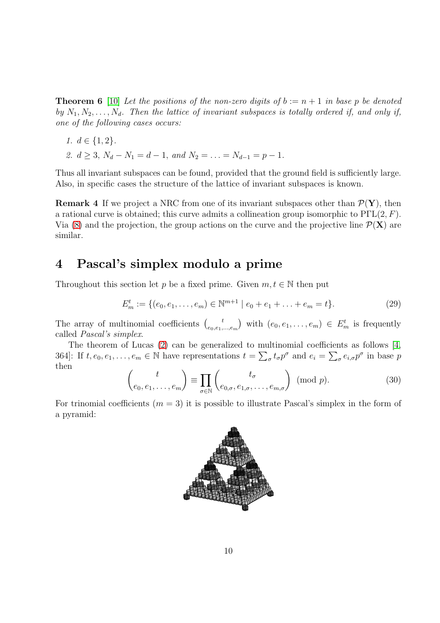**Theorem 6** [\[10\]](#page-12-16) Let the positions of the non-zero digits of  $b := n + 1$  in base p be denoted by  $N_1, N_2, \ldots, N_d$ . Then the lattice of invariant subspaces is totally ordered if, and only if, one of the following cases occurs:

1. 
$$
d \in \{1, 2\}.
$$
  
2.  $d \ge 3$ ,  $N_d - N_1 = d - 1$ , and  $N_2 = ... = N_{d-1} = p - 1$ .

Thus all invariant subspaces can be found, provided that the ground field is sufficiently large. Also, in specific cases the structure of the lattice of invariant subspaces is known.

**Remark 4** If we project a NRC from one of its invariant subspaces other than  $\mathcal{P}(\mathbf{Y})$ , then a rational curve is obtained; this curve admits a collineation group isomorphic to  $P\Gamma L(2, F)$ . Via [\(8\)](#page-2-0) and the projection, the group actions on the curve and the projective line  $\mathcal{P}(\mathbf{X})$  are similar.

### <span id="page-9-0"></span>4 Pascal's simplex modulo a prime

Throughout this section let p be a fixed prime. Given  $m, t \in \mathbb{N}$  then put

<span id="page-9-1"></span>
$$
E_m^t := \{ (e_0, e_1, \dots, e_m) \in \mathbb{N}^{m+1} \mid e_0 + e_1 + \dots + e_m = t \}. \tag{29}
$$

The array of multinomial coefficients  $\begin{pmatrix} t \\ e_0 & e_1 \end{pmatrix}$  $(e_{0},e_{1},...,e_{m})$  with  $(e_{0},e_{1},...,e_{m}) \in E_{m}^{t}$  is frequently called Pascal's simplex.

The theorem of Lucas [\(2\)](#page-1-1) can be generalized to multinomial coefficients as follows [\[4,](#page-12-0) 364]: If  $t, e_0, e_1, \ldots, e_m \in \mathbb{N}$  have representations  $t = \sum_{\sigma} t_{\sigma} p^{\sigma}$  and  $e_i = \sum_{\sigma} e_{i,\sigma} p^{\sigma}$  in base p then

$$
\begin{pmatrix} t \\ e_0, e_1, \dots, e_m \end{pmatrix} \equiv \prod_{\sigma \in \mathbb{N}} \begin{pmatrix} t_{\sigma} \\ e_{0,\sigma}, e_{1,\sigma}, \dots, e_{m,\sigma} \end{pmatrix} \pmod{p}.
$$
 (30)

For trinomial coefficients  $(m = 3)$  it is possible to illustrate Pascal's simplex in the form of a pyramid:

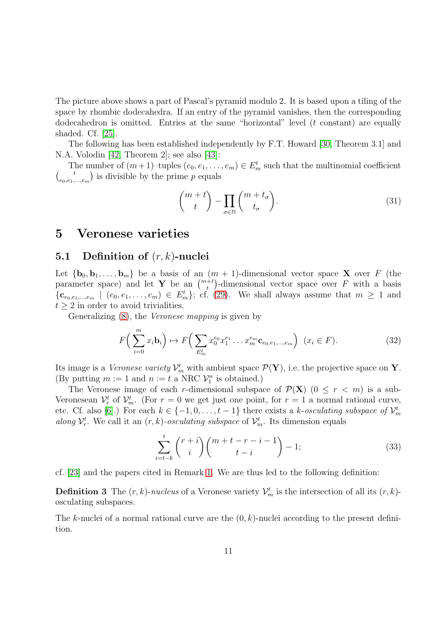The picture above shows a part of Pascal's pyramid modulo 2. It is based upon a tiling of the space by rhombic dodecahedra. If an entry of the pyramid vanishes, then the corresponding dodecahedron is omitted. Entries at the same "horizontal" level  $(t$  constant) are equally shaded. Cf. [\[25\]](#page-13-14).

The following has been established independently by F.T. Howard [\[30,](#page-13-15) Theorem 3.1] and N.A. Volodin [\[42,](#page-13-16) Theorem 2]; see also [\[43\]](#page-13-17):

The number of  $(m+1)$ –tuples  $(e_0, e_1, \ldots, e_m) \in E_m^t$  such that the multinomial coefficient  $\int_{a}^{t}$  $\binom{t}{e_0,e_1,\dots,e_m}$  is divisible by the prime p equals

<span id="page-10-1"></span>
$$
\binom{m+t}{t} - \prod_{\sigma \in \mathbb{N}} \binom{m+t_{\sigma}}{t_{\sigma}}.
$$
\n(31)

### 5 Veronese varieties

#### 5.1 Definition of  $(r, k)$ -nuclei

Let  ${\bf b}_0, {\bf b}_1, \ldots, {\bf b}_m$  be a basis of an  $(m + 1)$ -dimensional vector space **X** over F (the parameter space) and let Y be an  $\binom{m+t}{t}$ -dimensional vector space over F with a basis  ${c_{e_0,e_1,...,e_m} \mid (e_0,e_1,...,e_m) \in E_m^t}$ ; cf. [\(29\)](#page-9-1). We shall always assume that  $m \geq 1$  and  $t > 2$  in order to avoid trivialities.

Generalizing [\(8\)](#page-2-0), the Veronese mapping is given by

$$
F\left(\sum_{i=0}^{m} x_i \mathbf{b}_i\right) \mapsto F\left(\sum_{E_m^t} x_0^{e_0} x_1^{e_1} \dots x_m^{e_m} \mathbf{c}_{e_0, e_1, \dots, e_m}\right) \ (x_i \in F). \tag{32}
$$

Its image is a *Veronese variety*  $\mathcal{V}_m^t$  with ambient space  $\mathcal{P}(\mathbf{Y})$ , i.e. the projective space on **Y**. (By putting  $m := 1$  and  $n := t$  a NRC  $\mathcal{V}_1^n$  is obtained.)

The Veronese image of each r-dimensional subspace of  $\mathcal{P}(\mathbf{X})$  ( $0 \leq r < m$ ) is a sub-Veronesean  $\mathcal{V}_r^t$  of  $\mathcal{V}_m^t$ . (For  $r = 0$  we get just one point, for  $r = 1$  a normal rational curve, etc. Cf. also [\[6\]](#page-12-17).) For each  $k \in \{-1, 0, \ldots, t-1\}$  there exists a k-osculating subspace of  $\mathcal{V}_m^t$ along  $\mathcal{V}_r^t$ . We call it an  $(r, k)$ -osculating subspace of  $\mathcal{V}_m^t$ . Its dimension equals

<span id="page-10-0"></span>
$$
\sum_{i=t-k}^{t} \binom{r+i}{i} \binom{m+t-r-i-1}{t-i} - 1; \tag{33}
$$

cf. [\[23\]](#page-13-1) and the papers cited in Remark 1. We are thus led to the following definition:

**Definition 3** The  $(r, k)$ -nucleus of a Veronese variety  $\mathcal{V}_m^t$  is the intersection of all its  $(r, k)$ osculating subspaces.

The k-nuclei of a normal rational curve are the  $(0, k)$ -nuclei according to the present definition.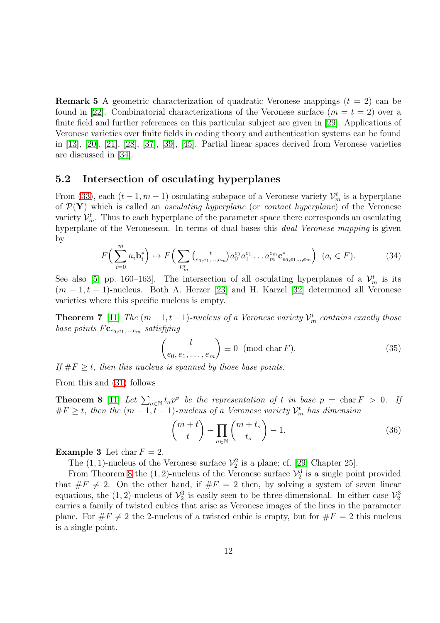**Remark 5** A geometric characterization of quadratic Veronese mappings  $(t = 2)$  can be found in [\[22\]](#page-13-18). Combinatorial characterizations of the Veronese surface  $(m = t = 2)$  over a finite field and further references on this particular subject are given in [\[29\]](#page-13-19). Applications of Veronese varieties over finite fields in coding theory and authentication systems can be found in [\[13\]](#page-12-18), [\[20\]](#page-12-19), [\[21\]](#page-12-20), [\[28\]](#page-13-20), [\[37\]](#page-13-13), [\[39\]](#page-13-21), [\[45\]](#page-14-2). Partial linear spaces derived from Veronese varieties are discussed in [\[34\]](#page-13-22).

#### 5.2 Intersection of osculating hyperplanes

From [\(33\)](#page-10-0), each  $(t-1, m-1)$ -osculating subspace of a Veronese variety  $\mathcal{V}_m^t$  is a hyperplane of  $\mathcal{P}(Y)$  which is called an *osculating hyperplane* (or *contact hyperplane*) of the Veronese variety  $\mathcal{V}_m^t$ . Thus to each hyperplane of the parameter space there corresponds an osculating hyperplane of the Veronesean. In terms of dual bases this dual Veronese mapping is given by

$$
F\left(\sum_{i=0}^{m} a_{i} \mathbf{b}_{i}^{*}\right) \mapsto F\left(\sum_{E_{m}^{t}} {t \choose e_{0}, e_{1}, \dots, e_{m}} a_{0}^{e_{0}} a_{1}^{e_{1}} \dots a_{m}^{e_{m}} \mathbf{c}_{e_{0}, e_{1} \dots, e_{m}}^{*}\right) (a_{i} \in F).
$$
 (34)

See also [\[5,](#page-12-7) pp. 160–163]. The intersection of all osculating hyperplanes of a  $\mathcal{V}_m^t$  is its  $(m-1, t-1)$ -nucleus. Both A. Herzer [\[23\]](#page-13-1) and H. Karzel [\[32\]](#page-13-10) determined all Veronese varieties where this specific nucleus is empty.

**Theorem 7** [\[11\]](#page-12-11) The  $(m-1, t-1)$ -nucleus of a Veronese variety  $\mathcal{V}_m^t$  contains exactly those base points  $F_{\mathbf{c}_{e_0,e_1,...,e_m}}$  satisfying

$$
\begin{pmatrix} t \\ e_0, e_1, \dots, e_m \end{pmatrix} \equiv 0 \pmod{\text{char } F}.
$$
 (35)

If  $\#F \geq t$ , then this nucleus is spanned by those base points.

<span id="page-11-0"></span>From this and [\(31\)](#page-10-1) follows

**Theorem 8** [\[11\]](#page-12-11) Let  $\sum_{\sigma \in \mathbb{N}} t_{\sigma} p^{\sigma}$  be the representation of t in base  $p = \text{char } F > 0$ . If  $\#F \geq t$ , then the  $(m-1, t-1)$ -nucleus of a Veronese variety  $\mathcal{V}_m^t$  has dimension

$$
\binom{m+t}{t} - \prod_{\sigma \in \mathbb{N}} \binom{m+t_{\sigma}}{t_{\sigma}} - 1.
$$
\n(36)

**Example 3** Let char  $F = 2$ .

The  $(1, 1)$ -nucleus of the Veronese surface  $\mathcal{V}_2^2$  is a plane; cf. [\[29,](#page-13-19) Chapter 25].

From Theorem [8](#page-11-0) the  $(1, 2)$ -nucleus of the Veronese surface  $\mathcal{V}_2^3$  is a single point provided that  $\#F \neq 2$ . On the other hand, if  $\#F = 2$  then, by solving a system of seven linear equations, the  $(1, 2)$ -nucleus of  $\mathcal{V}_2^3$  is easily seen to be three-dimensional. In either case  $\mathcal{V}_2^3$ carries a family of twisted cubics that arise as Veronese images of the lines in the parameter plane. For  $\#F \neq 2$  the 2-nucleus of a twisted cubic is empty, but for  $\#F = 2$  this nucleus is a single point.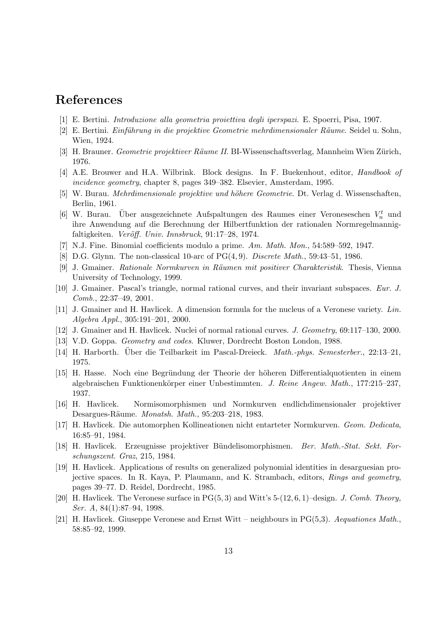## <span id="page-12-4"></span>References

- <span id="page-12-5"></span>[1] E. Bertini. Introduzione alla geometria proiettiva degli iperspazi. E. Spoerri, Pisa, 1907.
- <span id="page-12-6"></span>[2] E. Bertini. *Einführung in die projektive Geometrie mehrdimensionaler Räume*. Seidel u. Sohn, Wien, 1924.
- <span id="page-12-0"></span>[3] H. Brauner. Geometrie projektiver Räume II. BI-Wissenschaftsverlag, Mannheim Wien Zürich, 1976.
- <span id="page-12-7"></span>[4] A.E. Brouwer and H.A. Wilbrink. Block designs. In F. Buekenhout, editor, Handbook of incidence geometry, chapter 8, pages 349–382. Elsevier, Amsterdam, 1995.
- <span id="page-12-17"></span>[5] W. Burau. *Mehrdimensionale projektive und höhere Geometrie*. Dt. Verlag d. Wissenschaften, Berlin, 1961.
- [6] W. Burau. Über ausgezeichnete Aufspaltungen des Raumes einer Veroneseschen  $V_n^t$  und ihre Anwendung auf die Berechnung der Hilbertfunktion der rationalen Normregelmannigfaltigkeiten. Veröff. Univ. Innsbruck,  $91:17-28$ , 1974.
- <span id="page-12-14"></span><span id="page-12-2"></span>[7] N.J. Fine. Binomial coefficients modulo a prime. Am. Math. Mon., 54:589–592, 1947.
- <span id="page-12-15"></span>[8] D.G. Glynn. The non-classical 10-arc of PG(4,9). *Discrete Math.*, 59:43–51, 1986.
- <span id="page-12-16"></span>[9] J. Gmainer. Rationale Normkurven in Räumen mit positiver Charakteristik. Thesis, Vienna University of Technology, 1999.
- <span id="page-12-11"></span>[10] J. Gmainer. Pascal's triangle, normal rational curves, and their invariant subspaces. Eur. J. Comb., 22:37–49, 2001.
- <span id="page-12-1"></span>[11] J. Gmainer and H. Havlicek. A dimension formula for the nucleus of a Veronese variety. Lin. Algebra Appl., 305:191–201, 2000.
- <span id="page-12-18"></span>[12] J. Gmainer and H. Havlicek. Nuclei of normal rational curves. J. Geometry, 69:117–130, 2000.
- <span id="page-12-3"></span>[13] V.D. Goppa. *Geometry and codes*. Kluwer, Dordrecht Boston London, 1988.
- <span id="page-12-8"></span>[14] H. Harborth. Über die Teilbarkeit im Pascal-Dreieck. *Math.-phys. Semesterber.*, 22:13–21, 1975.
- [15] H. Hasse. Noch eine Begründung der Theorie der höheren Differentialquotienten in einem algebraischen Funktionenkörper einer Unbestimmten. J. Reine Angew. Math., 177:215–237, 1937.
- <span id="page-12-12"></span><span id="page-12-9"></span>[16] H. Havlicek. Normisomorphismen und Normkurven endlichdimensionaler projektiver Desargues-Räume. *Monatsh. Math.*, 95:203–218, 1983.
- <span id="page-12-13"></span>[17] H. Havlicek. Die automorphen Kollineationen nicht entarteter Normkurven. Geom. Dedicata, 16:85–91, 1984.
- <span id="page-12-10"></span>[18] H. Havlicek. Erzeugnisse projektiver Bündelisomorphismen. *Ber. Math.-Stat. Sekt. For*schungszent. Graz, 215, 1984.
- [19] H. Havlicek. Applications of results on generalized polynomial identities in desarguesian projective spaces. In R. Kaya, P. Plaumann, and K. Strambach, editors, Rings and geometry, pages 39–77. D. Reidel, Dordrecht, 1985.
- <span id="page-12-20"></span><span id="page-12-19"></span>[20] H. Havlicek. The Veronese surface in  $PG(5,3)$  and Witt's 5-(12, 6, 1)–design. J. Comb. Theory, Ser. A, 84(1):87–94, 1998.
- [21] H. Havlicek. Giuseppe Veronese and Ernst Witt neighbours in PG(5,3). Aequationes Math., 58:85–92, 1999.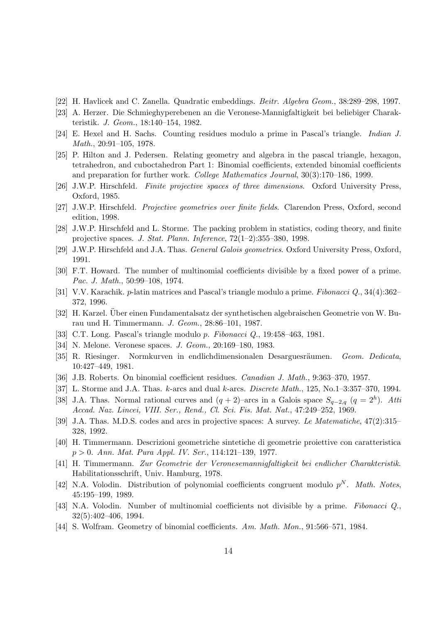- <span id="page-13-18"></span><span id="page-13-1"></span>[22] H. Havlicek and C. Zanella. Quadratic embeddings. Beitr. Algebra Geom., 38:289–298, 1997.
- <span id="page-13-2"></span>[23] A. Herzer. Die Schmieghyperebenen an die Veronese-Mannigfaltigkeit bei beliebiger Charakteristik. J. Geom., 18:140–154, 1982.
- <span id="page-13-14"></span>[24] E. Hexel and H. Sachs. Counting residues modulo a prime in Pascal's triangle. Indian J. Math., 20:91–105, 1978.
- [25] P. Hilton and J. Pedersen. Relating geometry and algebra in the pascal triangle, hexagon, tetrahedron, and cuboctahedron Part 1: Binomial coefficients, extended binomial coefficients and preparation for further work. College Mathematics Journal, 30(3):170–186, 1999.
- <span id="page-13-8"></span><span id="page-13-7"></span>[26] J.W.P. Hirschfeld. Finite projective spaces of three dimensions. Oxford University Press, Oxford, 1985.
- <span id="page-13-20"></span>[27] J.W.P. Hirschfeld. Projective geometries over finite fields. Clarendon Press, Oxford, second edition, 1998.
- <span id="page-13-19"></span>[28] J.W.P. Hirschfeld and L. Storme. The packing problem in statistics, coding theory, and finite projective spaces. J. Stat. Plann. Inference,  $72(1-2)$ :355–380, 1998.
- <span id="page-13-15"></span>[29] J.W.P. Hirschfeld and J.A. Thas. General Galois geometries. Oxford University Press, Oxford, 1991.
- <span id="page-13-5"></span>[30] F.T. Howard. The number of multinomial coefficients divisible by a fixed power of a prime. Pac. J. Math., 50:99–108, 1974.
- <span id="page-13-10"></span>[31] V.V. Karachik. p-latin matrices and Pascal's triangle modulo a prime. Fibonacci Q., 34(4):362– 372, 1996.
- <span id="page-13-3"></span>[32] H. Karzel. Über einen Fundamentalsatz der synthetischen algebraischen Geometrie von W. Burau und H. Timmermann. J. Geom., 28:86–101, 1987.
- <span id="page-13-22"></span>[33] C.T. Long. Pascal's triangle modulo p. Fibonacci Q., 19:458–463, 1981.
- <span id="page-13-9"></span>[34] N. Melone. Veronese spaces. J. Geom., 20:169–180, 1983.
- <span id="page-13-6"></span>[35] R. Riesinger. Normkurven in endlichdimensionalen Desarguesräumen. Geom. Dedicata, 10:427–449, 1981.
- <span id="page-13-13"></span>[36] J.B. Roberts. On binomial coefficient residues. Canadian J. Math., 9:363–370, 1957.
- <span id="page-13-0"></span>[37] L. Storme and J.A. Thas. k-arcs and dual k-arcs. Discrete Math., 125, No.1–3:357–370, 1994.
- <span id="page-13-21"></span>[38] J.A. Thas. Normal rational curves and  $(q + 2)$ -arcs in a Galois space  $S_{q-2,q}$   $(q = 2<sup>h</sup>)$ . Atti Accad. Naz. Lincei, VIII. Ser., Rend., Cl. Sci. Fis. Mat. Nat., 47:249–252, 1969.
- <span id="page-13-12"></span>[39] J.A. Thas. M.D.S. codes and arcs in projective spaces: A survey. Le Matematiche, 47(2):315– 328, 1992.
- <span id="page-13-11"></span>[40] H. Timmermann. Descrizioni geometriche sintetiche di geometrie proiettive con caratteristica p > 0. Ann. Mat. Pura Appl. IV. Ser., 114:121–139, 1977.
- <span id="page-13-16"></span>[41] H. Timmermann. Zur Geometrie der Veronesemannigfaltigkeit bei endlicher Charakteristik. Habilitationsschrift, Univ. Hamburg, 1978.
- <span id="page-13-17"></span>[42] N.A. Volodin. Distribution of polynomial coefficients congruent modulo  $p^N$ . Math. Notes, 45:195–199, 1989.
- <span id="page-13-4"></span>[43] N.A. Volodin. Number of multinomial coefficients not divisible by a prime. Fibonacci Q., 32(5):402–406, 1994.
- [44] S. Wolfram. Geometry of binomial coefficients. Am. Math. Mon., 91:566–571, 1984.